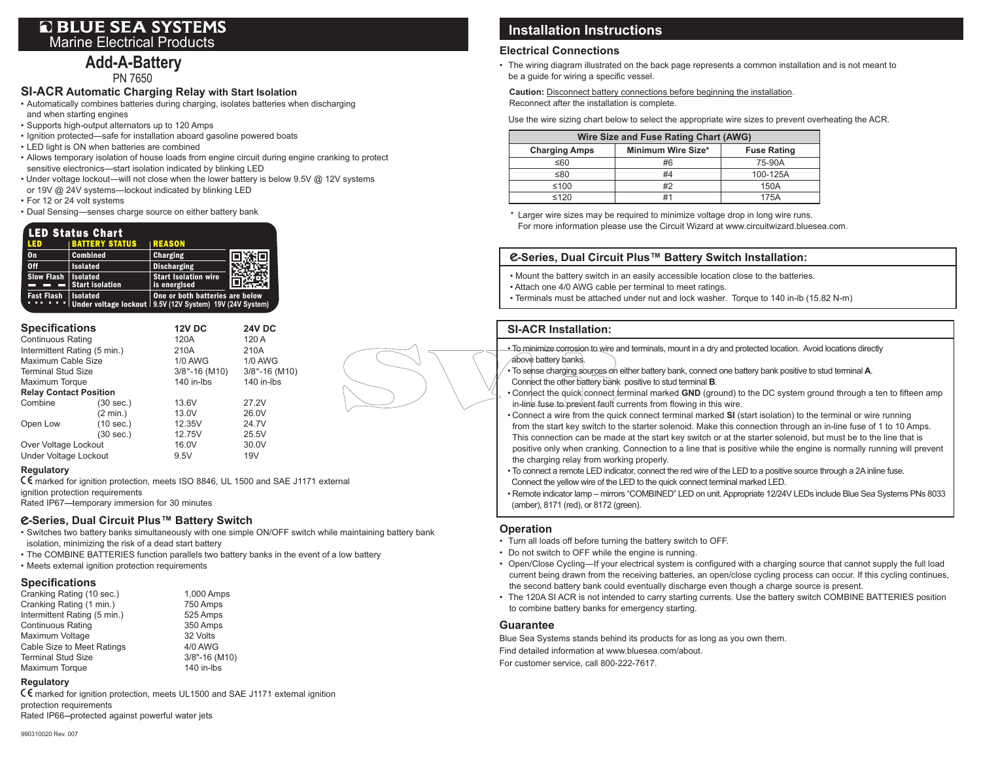## **Q BLUE SEA SYSTEMS** Marine Electrical Products

# **Add-A-Battery**

PN 7650

## **SI-ACR Automatic Charging Relay with Start Isolation**

- • Automatically combines batteries during charging, isolates batteries when discharging and when starting engines
- • Supports high-output alternators up to 120 Amps
- Ignition protected—safe for installation aboard gasoline powered boats
- • LED light is ON when batteries are combined
- • Allows temporary isolation of house loads from engine circuit during engine cranking to protect sensitive electronics—start isolation indicated by blinking LED
- Under voltage lockout—will not close when the lower battery is below 9.5V @ 12V systems
- or 19V @ 24V systems—lockout indicated by blinking LED
- • For 12 or 24 volt systems
- • Dual Sensing—senses charge source on either battery bank

#### **BATTERY STATUS** REASON **LED Status Chart**

| <b>LED</b>                   | <b>IBATTERY STATUS</b>                                                                                                                                                                                                                                                                                                                                                                                                            | IREASON                                     |     |
|------------------------------|-----------------------------------------------------------------------------------------------------------------------------------------------------------------------------------------------------------------------------------------------------------------------------------------------------------------------------------------------------------------------------------------------------------------------------------|---------------------------------------------|-----|
| $\mathbf{0}$                 | <b>Combined</b>                                                                                                                                                                                                                                                                                                                                                                                                                   | Charging                                    | 同冻同 |
| 0ff                          | <b>Isolated</b>                                                                                                                                                                                                                                                                                                                                                                                                                   | <b>Discharging</b>                          |     |
| <b>Slow Flash   Isolated</b> | $\frac{1}{\sqrt{1-\frac{1}{\sqrt{1-\frac{1}{\sqrt{1-\frac{1}{\sqrt{1-\frac{1}{\sqrt{1-\frac{1}{\sqrt{1-\frac{1}{\sqrt{1-\frac{1}{\sqrt{1-\frac{1}{\sqrt{1-\frac{1}{\sqrt{1-\frac{1}{\sqrt{1-\frac{1}{\sqrt{1-\frac{1}{\sqrt{1-\frac{1}{\sqrt{1-\frac{1}{\sqrt{1-\frac{1}{\sqrt{1-\frac{1}{\sqrt{1-\frac{1}{\sqrt{1-\frac{1}{\sqrt{1-\frac{1}{\sqrt{1-\frac{1}{\sqrt{1-\frac{1}{\sqrt{1-\frac{1}{\sqrt{1-\frac{1}{\sqrt{1-\frac{1$ | <b>Start Isolation wire</b><br>is energised |     |
| Fast Flash   Isolated        | Under voltage lockout   9.5V (12V System) 19V (24V System)                                                                                                                                                                                                                                                                                                                                                                        | One or both batteries are below             |     |

| <b>Specifications</b>         |        | <b>24V DC</b>                                                                                      |  |
|-------------------------------|--------|----------------------------------------------------------------------------------------------------|--|
| <b>Continuous Rating</b>      |        | 120 A                                                                                              |  |
| Intermittent Rating (5 min.)  |        | 210A                                                                                               |  |
| Maximum Cable Size            |        | <b>1/0 AWG</b>                                                                                     |  |
| <b>Terminal Stud Size</b>     |        | 3/8"-16 (M10)                                                                                      |  |
| Maximum Torque                |        | 140 in-lbs                                                                                         |  |
| <b>Relay Contact Position</b> |        |                                                                                                    |  |
| $(30 \text{ sec.})$           | 13.6V  | 27.2V                                                                                              |  |
| $(2 \text{ min.})$            | 13.0V  | 26.0V                                                                                              |  |
| (10 sec.)                     | 12.35V | 24.7V                                                                                              |  |
| (30 sec.)                     | 12.75V | 25.5V                                                                                              |  |
| Over Voltage Lockout          |        | 30.0V                                                                                              |  |
| Under Voltage Lockout         |        | 19 <sub>V</sub>                                                                                    |  |
|                               |        | <b>12V DC</b><br>120A<br>210A<br><b>1/0 AWG</b><br>$3/8$ "-16 (M10)<br>140 in-lbs<br>16.0V<br>9.5V |  |

#### **Regulatory**

E marked for ignition protection, meets ISO 8846, UL 1500 and SAE J1171 external ignition protection requirements

Rated IP67-temporary immersion for 30 minutes

### e**-Series, Dual Circuit Plus™ Battery Switch**

- • Switches two battery banks simultaneously with one simple ON/OFF switch while maintaining battery bank isolation, minimizing the risk of a dead start battery
- The COMBINE BATTERIES function parallels two battery banks in the event of a low battery
- Meets external ignition protection requirements

### **Specifications**

| Cranking Rating (10 sec.)    | 1,000 Amps    |
|------------------------------|---------------|
| Cranking Rating (1 min.)     | 750 Amps      |
| Intermittent Rating (5 min.) | 525 Amps      |
| <b>Continuous Rating</b>     | 350 Amps      |
| Maximum Voltage              | 32 Volts      |
| Cable Size to Meet Ratings   | 4/0 AWG       |
| <b>Terminal Stud Size</b>    | 3/8"-16 (M10) |
| Maximum Torque               | 140 in-lbs    |
|                              |               |

#### **Regulatory**

E marked for ignition protection, meets UL1500 and SAE J1171 external ignition protection requirements Rated IP66--protected against powerful water jets

# **Installation Instructions**

### **Electrical Connections**

• The wiring diagram illustrated on the back page represents a common installation and is not meant to be a guide for wiring a specific vessel.

 **Caution:** Disconnect battery connections before beginning the installation. Reconnect after the installation is complete.

 Use the wire sizing chart below to select the appropriate wire sizes to prevent overheating the ACR.

| Wire Size and Fuse Rating Chart (AWG) |                    |                    |  |  |  |
|---------------------------------------|--------------------|--------------------|--|--|--|
| <b>Charging Amps</b>                  | Minimum Wire Size* | <b>Fuse Rating</b> |  |  |  |
| ≤60                                   | #6                 | 75-90A             |  |  |  |
| ≤80                                   | #4                 | 100-125A           |  |  |  |
| ≤100                                  | #2                 | 150A               |  |  |  |
| ≤120                                  |                    | 175A               |  |  |  |

\* Larger wire sizes may be required to minimize voltage drop in long wire runs. For more information please use the Circuit Wizard at www.circuitwizard.bluesea.com.

### e**-Series, Dual Circuit Plus™ Battery Switch Installation:**

• Mount the battery switch in an easily accessible location close to the batteries.

- Attach one 4/0 AWG cable per terminal to meet ratings.
- Terminals must be attached under nut and lock washer. Torque to 140 in-lb (15.82 N-m)

### **SI-ACR Installation:**

• To minimize corrosion to wire and terminals, mount in a dry and protected location. Avoid locations directly above battery banks. • To sense charging sources on either battery bank, connect one battery bank positive to stud terminal **A**.

- Connect the other battery bank positive to stud terminal **B**.
- Connect the quick connect terminal marked GND (ground) to the DC system ground through a ten to fifteen amp in-line fuse to prevent fault currents from flowing in this wire.
- Connect a wire from the quick connect terminal marked **SI** (start isolation) to the terminal or wire running from the start key switch to the starter solenoid. Make this connection through an in-line fuse of 1 to 10 Amps. This connection can be made at the start key switch or at the starter solenoid, but must be to the line that is positive only when cranking. Connection to a line that is positive while the engine is normally running will prevent the charging relay from working properly.
- To connect a remote LED indicator, connect the red wire of the LED to a positive source through a 2Ainline fuse. Connect the yellow wire of the LED to the quick connect terminal marked LED.
- Remote indicator lamp mirrors "COMBINED" LED on unit.Appropriate 12/24V LEDs include Blue Sea Systems PNs 8033 (amber), 8171 (red), or 8172 (green).

### **Operation**

- Turn all loads off before turning the battery switch to OFF.
- Do not switch to OFF while the engine is running.
- • Open/Close Cycling―If your electrical system is configured with a charging source that cannot supply the full load current being drawn from the receiving batteries, an open/close cycling process can occur. If this cycling continues, the second battery bank could eventually discharge even though a charge source is present.
- The 120A SI ACR is not intended to carry starting currents. Use the battery switch COMBINE BATTERIES position to combine battery banks for emergency starting.

### **Guarantee**

Blue Sea Systems stands behind its products for as long as you own them. Find detailed information at www.bluesea.com/about. For customer service, call 800-222-7617.